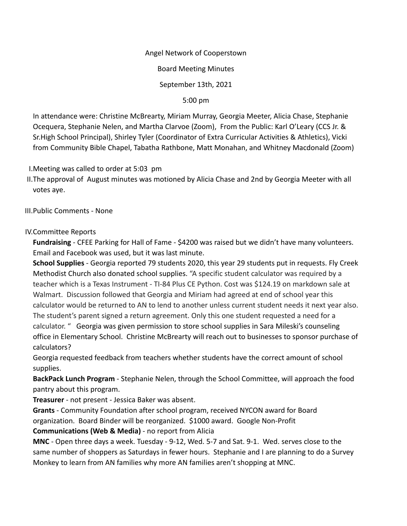### Angel Network of Cooperstown

Board Meeting Minutes

September 13th, 2021

5:00 pm

In attendance were: Christine McBrearty, Miriam Murray, Georgia Meeter, Alicia Chase, Stephanie Ocequera, Stephanie Nelen, and Martha Clarvoe (Zoom), From the Public: Karl O'Leary (CCS Jr. & Sr.High School Principal), Shirley Tyler (Coordinator of Extra Curricular Activities & Athletics), Vicki from Community Bible Chapel, Tabatha Rathbone, Matt Monahan, and Whitney Macdonald (Zoom)

I.Meeting was called to order at 5:03 pm

II.The approval of August minutes was motioned by Alicia Chase and 2nd by Georgia Meeter with all votes aye.

III.Public Comments - None

## IV.Committee Reports

**Fundraising** - CFEE Parking for Hall of Fame - \$4200 was raised but we didn't have many volunteers. Email and Facebook was used, but it was last minute.

**School Supplies** - Georgia reported 79 students 2020, this year 29 students put in requests. Fly Creek Methodist Church also donated school supplies. "A specific student calculator was required by a teacher which is a Texas Instrument - TI-84 Plus CE Python. Cost was \$124.19 on markdown sale at Walmart. Discussion followed that Georgia and Miriam had agreed at end of school year this calculator would be returned to AN to lend to another unless current student needs it next year also. The student's parent signed a return agreement. Only this one student requested a need for a calculator. " Georgia was given permission to store school supplies in Sara Mileski's counseling office in Elementary School. Christine McBrearty will reach out to businesses to sponsor purchase of calculators?

Georgia requested feedback from teachers whether students have the correct amount of school supplies.

**BackPack Lunch Program** - Stephanie Nelen, through the School Committee, will approach the food pantry about this program.

**Treasurer** - not present - Jessica Baker was absent.

**Grants** - Community Foundation after school program, received NYCON award for Board organization. Board Binder will be reorganized. \$1000 award. Google Non-Profit

**Communications (Web & Media)** - no report from Alicia

**MNC** - Open three days a week. Tuesday - 9-12, Wed. 5-7 and Sat. 9-1. Wed. serves close to the same number of shoppers as Saturdays in fewer hours. Stephanie and I are planning to do a Survey Monkey to learn from AN families why more AN families aren't shopping at MNC.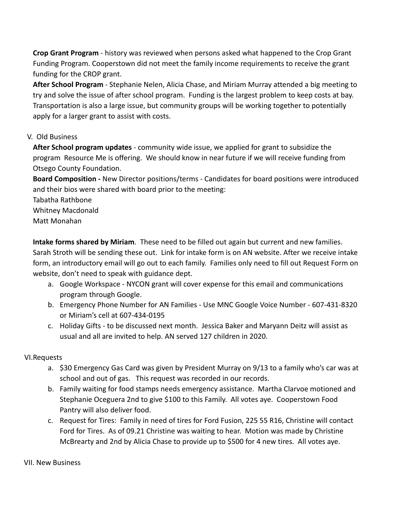**Crop Grant Program** - history was reviewed when persons asked what happened to the Crop Grant Funding Program. Cooperstown did not meet the family income requirements to receive the grant funding for the CROP grant.

**After School Program** - Stephanie Nelen, Alicia Chase, and Miriam Murray attended a big meeting to try and solve the issue of after school program. Funding is the largest problem to keep costs at bay. Transportation is also a large issue, but community groups will be working together to potentially apply for a larger grant to assist with costs.

# V. Old Business

**After School program updates** - community wide issue, we applied for grant to subsidize the program Resource Me is offering. We should know in near future if we will receive funding from Otsego County Foundation.

**Board Composition -** New Director positions/terms - Candidates for board positions were introduced and their bios were shared with board prior to the meeting:

Tabatha Rathbone Whitney Macdonald Matt Monahan

**Intake forms shared by Miriam**. These need to be filled out again but current and new families. Sarah Stroth will be sending these out. Link for intake form is on AN website. After we receive intake form, an introductory email will go out to each family. Families only need to fill out Request Form on website, don't need to speak with guidance dept.

- a. Google Workspace NYCON grant will cover expense for this email and communications program through Google.
- b. Emergency Phone Number for AN Families Use MNC Google Voice Number 607-431-8320 or Miriam's cell at 607-434-0195
- c. Holiday Gifts to be discussed next month. Jessica Baker and Maryann Deitz will assist as usual and all are invited to help. AN served 127 children in 2020.

## VI.Requests

- a. \$30 Emergency Gas Card was given by President Murray on 9/13 to a family who's car was at school and out of gas. This request was recorded in our records.
- b. Family waiting for food stamps needs emergency assistance. Martha Clarvoe motioned and Stephanie Oceguera 2nd to give \$100 to this Family. All votes aye. Cooperstown Food Pantry will also deliver food.
- c. Request for Tires: Family in need of tires for Ford Fusion, 225 55 R16, Christine will contact Ford for Tires. As of 09.21 Christine was waiting to hear. Motion was made by Christine McBrearty and 2nd by Alicia Chase to provide up to \$500 for 4 new tires. All votes aye.

VII. New Business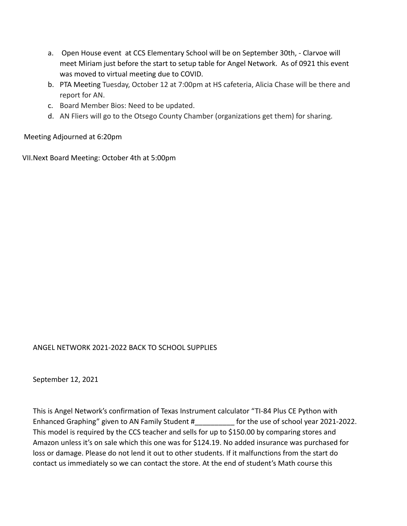- a. Open House event at CCS Elementary School will be on September 30th, Clarvoe will meet Miriam just before the start to setup table for Angel Network. As of 0921 this event was moved to virtual meeting due to COVID.
- b. PTA Meeting Tuesday, October 12 at 7:00pm at HS cafeteria, Alicia Chase will be there and report for AN.
- c. Board Member Bios: Need to be updated.
- d. AN Fliers will go to the Otsego County Chamber (organizations get them) for sharing.

Meeting Adjourned at 6:20pm

VII.Next Board Meeting: October 4th at 5:00pm

## ANGEL NETWORK 2021-2022 BACK TO SCHOOL SUPPLIES

September 12, 2021

This is Angel Network's confirmation of Texas Instrument calculator "TI-84 Plus CE Python with Enhanced Graphing" given to AN Family Student # The use of school year 2021-2022. This model is required by the CCS teacher and sells for up to \$150.00 by comparing stores and Amazon unless it's on sale which this one was for \$124.19. No added insurance was purchased for loss or damage. Please do not lend it out to other students. If it malfunctions from the start do contact us immediately so we can contact the store. At the end of student's Math course this